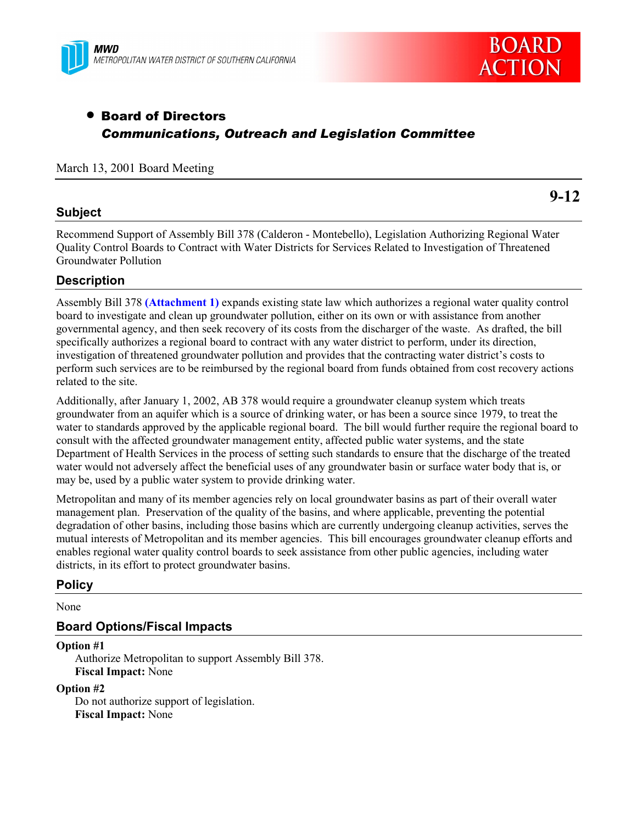



# • Board of Directors *Communications, Outreach and Legislation Committee*

## March 13, 2001 Board Meeting

## **Subject**

**9-12**

Recommend Support of Assembly Bill 378 (Calderon - Montebello), Legislation Authorizing Regional Water Quality Control Boards to Contract with Water Districts for Services Related to Investigation of Threatened Groundwater Pollution

## **Description**

Assembly Bill 378 **(Attachment 1)** expands existing state law which authorizes a regional water quality control board to investigate and clean up groundwater pollution, either on its own or with assistance from another governmental agency, and then seek recovery of its costs from the discharger of the waste. As drafted, the bill specifically authorizes a regional board to contract with any water district to perform, under its direction, investigation of threatened groundwater pollution and provides that the contracting water district's costs to perform such services are to be reimbursed by the regional board from funds obtained from cost recovery actions related to the site.

Additionally, after January 1, 2002, AB 378 would require a groundwater cleanup system which treats groundwater from an aquifer which is a source of drinking water, or has been a source since 1979, to treat the water to standards approved by the applicable regional board. The bill would further require the regional board to consult with the affected groundwater management entity, affected public water systems, and the state Department of Health Services in the process of setting such standards to ensure that the discharge of the treated water would not adversely affect the beneficial uses of any groundwater basin or surface water body that is, or may be, used by a public water system to provide drinking water.

Metropolitan and many of its member agencies rely on local groundwater basins as part of their overall water management plan. Preservation of the quality of the basins, and where applicable, preventing the potential degradation of other basins, including those basins which are currently undergoing cleanup activities, serves the mutual interests of Metropolitan and its member agencies. This bill encourages groundwater cleanup efforts and enables regional water quality control boards to seek assistance from other public agencies, including water districts, in its effort to protect groundwater basins.

### **Policy**

None

## **Board Options/Fiscal Impacts**

#### **Option #1**

Authorize Metropolitan to support Assembly Bill 378. **Fiscal Impact:** None

#### **Option #2**

Do not authorize support of legislation. **Fiscal Impact:** None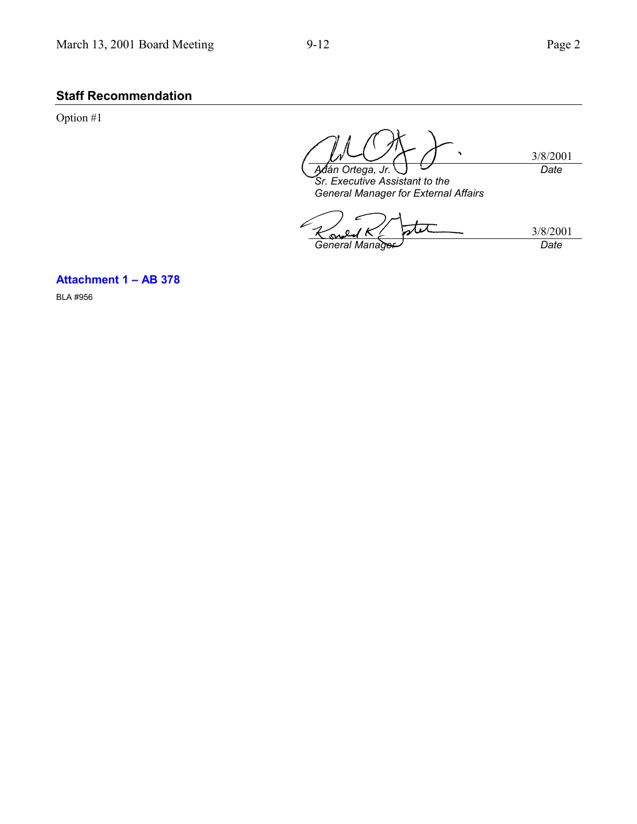## **Staff Recommendation**

Option #1

3/8/2001 *Adán Ortega, Jr. Date*

*Sr. Executive Assistant to the General Manager for External Affairs*

tx 3/8/2001 *General Manager Date*

**Attachment 1 – AB 378**

BLA #956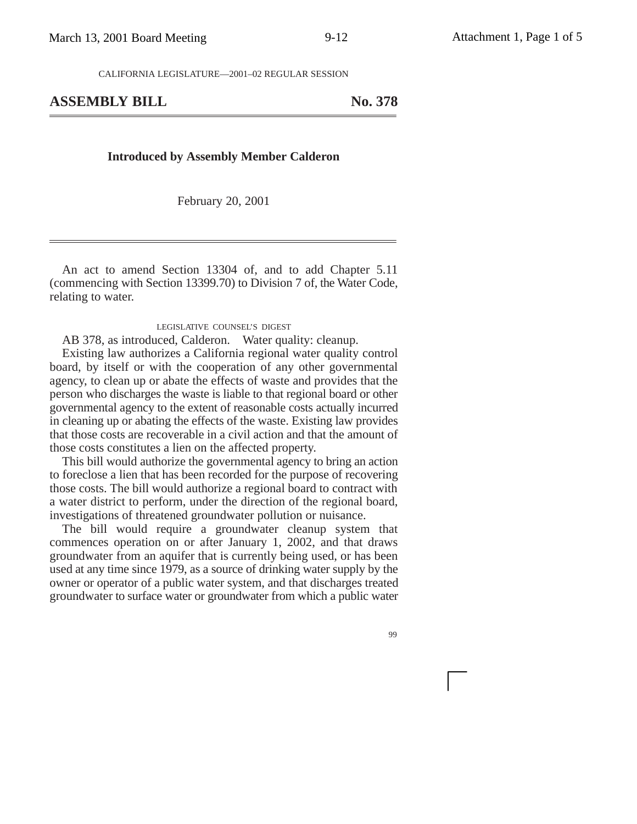CALIFORNIA LEGISLATURE—2001–02 REGULAR SESSION

## ASSEMBLY BILL No. 378

#### **Introduced by Assembly Member Calderon**

February 20, 2001

An act to amend Section 13304 of, and to add Chapter 5.11 (commencing with Section 13399.70) to Division 7 of, the Water Code, relating to water.

#### LEGISLATIVE COUNSEL'S DIGEST

AB 378, as introduced, Calderon. Water quality: cleanup.

Existing law authorizes a California regional water quality control board, by itself or with the cooperation of any other governmental agency, to clean up or abate the effects of waste and provides that the person who discharges the waste is liable to that regional board or other governmental agency to the extent of reasonable costs actually incurred in cleaning up or abating the effects of the waste. Existing law provides that those costs are recoverable in a civil action and that the amount of those costs constitutes a lien on the affected property.

This bill would authorize the governmental agency to bring an action to foreclose a lien that has been recorded for the purpose of recovering those costs. The bill would authorize a regional board to contract with a water district to perform, under the direction of the regional board, investigations of threatened groundwater pollution or nuisance.

The bill would require a groundwater cleanup system that commences operation on or after January 1, 2002, and that draws groundwater from an aquifer that is currently being used, or has been used at any time since 1979, as a source of drinking water supply by the owner or operator of a public water system, and that discharges treated groundwater to surface water or groundwater from which a public water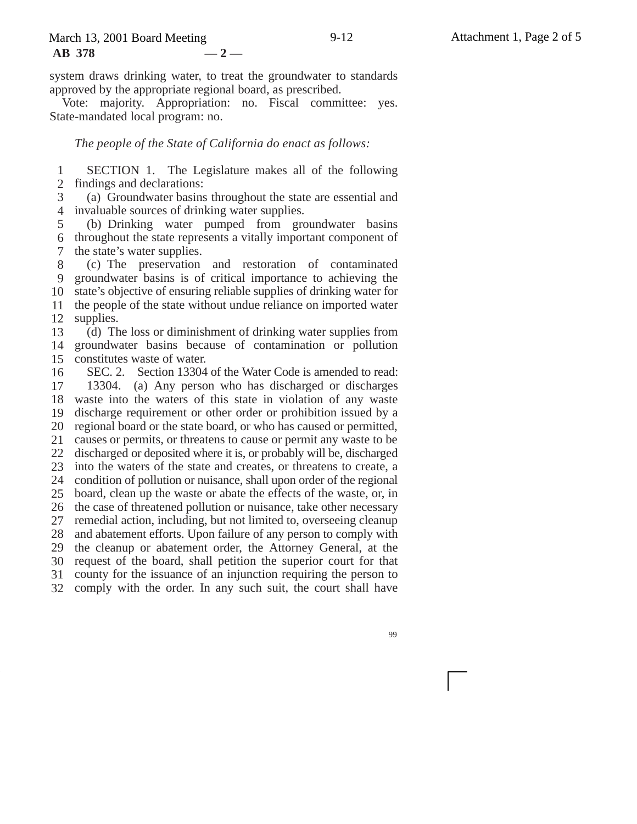system draws drinking water, to treat the groundwater to standards approved by the appropriate regional board, as prescribed.

Vote: majority. Appropriation: no. Fiscal committee: yes. State-mandated local program: no.

*The people of the State of California do enact as follows:*

1 2 SECTION 1. The Legislature makes all of the following findings and declarations:

3 4 invaluable sources of drinking water supplies. (a) Groundwater basins throughout the state are essential and

5 6 7 (b) Drinking water pumped from groundwater basins throughout the state represents a vitally important component of the state's water supplies.

8 9 10 11 12 (c) The preservation and restoration of contaminated groundwater basins is of critical importance to achieving the state's objective of ensuring reliable supplies of drinking water for the people of the state without undue reliance on imported water supplies.

13 14 15 (d) The loss or diminishment of drinking water supplies from groundwater basins because of contamination or pollution constitutes waste of water.

16 17 18 waste into the waters of this state in violation of any waste 19 20 regional board or the state board, or who has caused or permitted, 21 22 23 24 25 26 27 28 29 30 31 32 SEC. 2. Section 13304 of the Water Code is amended to read: 13304. (a) Any person who has discharged or discharges discharge requirement or other order or prohibition issued by a causes or permits, or threatens to cause or permit any waste to be discharged or deposited where it is, or probably will be, discharged into the waters of the state and creates, or threatens to create, a condition of pollution or nuisance, shall upon order of the regional board, clean up the waste or abate the effects of the waste, or, in the case of threatened pollution or nuisance, take other necessary remedial action, including, but not limited to, overseeing cleanup and abatement efforts. Upon failure of any person to comply with the cleanup or abatement order, the Attorney General, at the request of the board, shall petition the superior court for that county for the issuance of an injunction requiring the person to comply with the order. In any such suit, the court shall have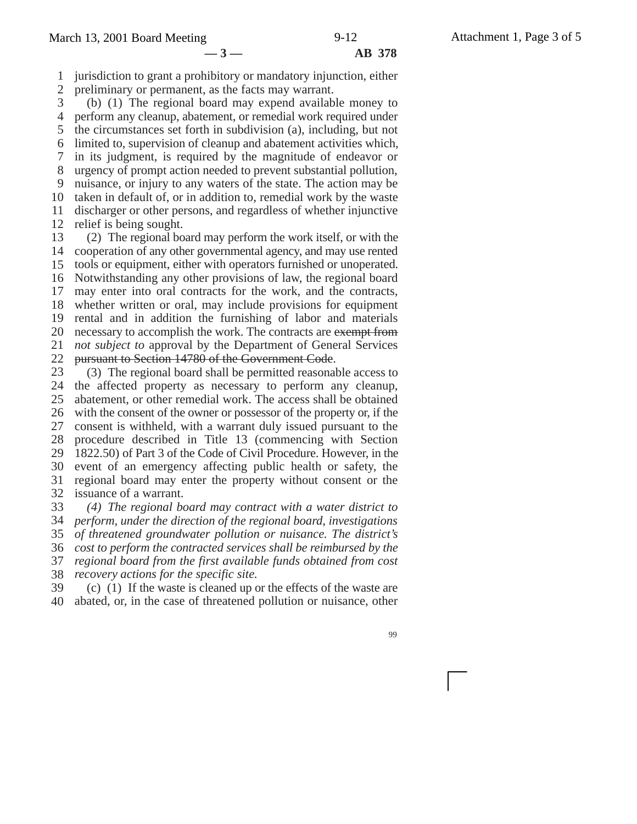# **—3— AB 378**

1 jurisdiction to grant a prohibitory or mandatory injunction, either

2 preliminary or permanent, as the facts may warrant.

3 4 5 6 7 8 9 10 11 12 (b) (1) The regional board may expend available money to perform any cleanup, abatement, or remedial work required under the circumstances set forth in subdivision (a), including, but not limited to, supervision of cleanup and abatement activities which, in its judgment, is required by the magnitude of endeavor or urgency of prompt action needed to prevent substantial pollution, nuisance, or injury to any waters of the state. The action may be taken in default of, or in addition to, remedial work by the waste discharger or other persons, and regardless of whether injunctive relief is being sought.

13 14 15 16 17 18 19 20 21 22 (2) The regional board may perform the work itself, or with the cooperation of any other governmental agency, and may use rented tools or equipment, either with operators furnished or unoperated. Notwithstanding any other provisions of law, the regional board may enter into oral contracts for the work, and the contracts, whether written or oral, may include provisions for equipment rental and in addition the furnishing of labor and materials necessary to accomplish the work. The contracts are exempt from *not subject to* approval by the Department of General Services pursuant to Section 14780 of the Government Code.

23 24 25 26 27 28 29 30 31 32 (3) The regional board shall be permitted reasonable access to the affected property as necessary to perform any cleanup, abatement, or other remedial work. The access shall be obtained with the consent of the owner or possessor of the property or, if the consent is withheld, with a warrant duly issued pursuant to the procedure described in Title 13 (commencing with Section 1822.50) of Part 3 of the Code of Civil Procedure. However, in the event of an emergency affecting public health or safety, the regional board may enter the property without consent or the issuance of a warrant.

33 34 35 36 37 *(4) The regional board may contract with a water district to perform, under the direction of the regional board, investigations of threatened groundwater pollution or nuisance. The district's cost to perform the contracted services shall be reimbursed by the regional board from the first available funds obtained from cost*

38 *recovery actions for the specific site.*

39 40 (c) (1) If the waste is cleaned up or the effects of the waste are abated, or, in the case of threatened pollution or nuisance, other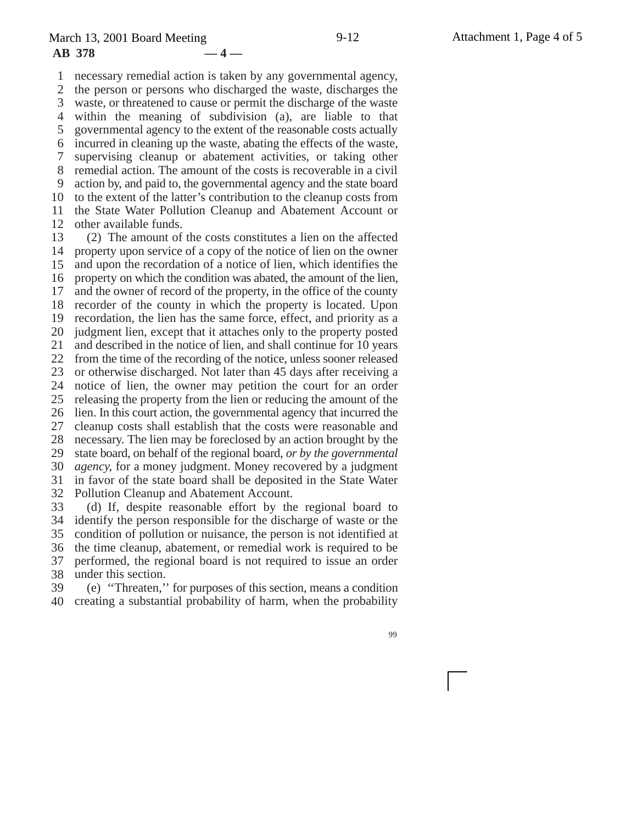1 2 3 4 5 6 7 8 9 10 11 12 necessary remedial action is taken by any governmental agency, the person or persons who discharged the waste, discharges the waste, or threatened to cause or permit the discharge of the waste within the meaning of subdivision (a), are liable to that governmental agency to the extent of the reasonable costs actually incurred in cleaning up the waste, abating the effects of the waste, supervising cleanup or abatement activities, or taking other remedial action. The amount of the costs is recoverable in a civil action by, and paid to, the governmental agency and the state board to the extent of the latter's contribution to the cleanup costs from the State Water Pollution Cleanup and Abatement Account or other available funds.

13 14 15 16 17 18 19 20 21 22 23 24 25 26 27 28 29 30 31 32 33 (2) The amount of the costs constitutes a lien on the affected property upon service of a copy of the notice of lien on the owner and upon the recordation of a notice of lien, which identifies the property on which the condition was abated, the amount of the lien, and the owner of record of the property, in the office of the county recorder of the county in which the property is located. Upon recordation, the lien has the same force, effect, and priority as a judgment lien, except that it attaches only to the property posted and described in the notice of lien, and shall continue for 10 years from the time of the recording of the notice, unless sooner released or otherwise discharged. Not later than 45 days after receiving a notice of lien, the owner may petition the court for an order releasing the property from the lien or reducing the amount of the lien. In this court action, the governmental agency that incurred the cleanup costs shall establish that the costs were reasonable and necessary. The lien may be foreclosed by an action brought by the state board, on behalf of the regional board, *or by the governmental agency,* for a money judgment. Money recovered by a judgment in favor of the state board shall be deposited in the State Water Pollution Cleanup and Abatement Account. (d) If, despite reasonable effort by the regional board to

34 35 36 37 38 identify the person responsible for the discharge of waste or the condition of pollution or nuisance, the person is not identified at the time cleanup, abatement, or remedial work is required to be performed, the regional board is not required to issue an order under this section.

39 40 (e) ''Threaten,'' for purposes of this section, means a condition creating a substantial probability of harm, when the probability